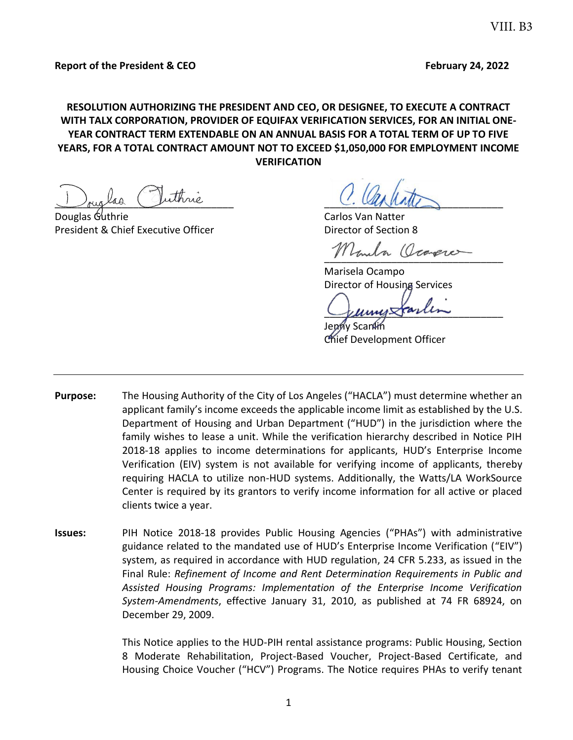## **RESOLUTION AUTHORIZING THE PRESIDENT AND CEO, OR DESIGNEE, TO EXECUTE A CONTRACT WITH TALX CORPORATION, PROVIDER OF EQUIFAX VERIFICATION SERVICES, FOR AN INITIAL ONE-YEAR CONTRACT TERM EXTENDABLE ON AN ANNUAL BASIS FOR A TOTAL TERM OF UP TO FIVE YEARS, FOR A TOTAL CONTRACT AMOUNT NOT TO EXCEED \$1,050,000 FOR EMPLOYMENT INCOME VERIFICATION**

Louglas ruinne

Douglas Guthrie Carlos Van Natter Carlos Van Natter President & Chief Executive Officer The Chief Chief Director of Section 8

Umila Ocagre

Marisela Ocampo Director of Housing Services

 $\sqrt{\mu\mu\mu\mu}$ 

Jenny Scanlin Chief Development Officer

- **Purpose:** The Housing Authority of the City of Los Angeles ("HACLA") must determine whether an applicant family's income exceeds the applicable income limit as established by the U.S. Department of Housing and Urban Department ("HUD") in the jurisdiction where the family wishes to lease a unit. While the verification hierarchy described in Notice PIH 2018-18 applies to income determinations for applicants, HUD's Enterprise Income Verification (EIV) system is not available for verifying income of applicants, thereby requiring HACLA to utilize non-HUD systems. Additionally, the Watts/LA WorkSource Center is required by its grantors to verify income information for all active or placed clients twice a year.
- **Issues:** PIH Notice 2018-18 provides Public Housing Agencies ("PHAs") with administrative guidance related to the mandated use of HUD's Enterprise Income Verification ("EIV") system, as required in accordance with HUD regulation, 24 CFR 5.233, as issued in the Final Rule: *Refinement of Income and Rent Determination Requirements in Public and Assisted Housing Programs: Implementation of the Enterprise Income Verification System-Amendments*, effective January 31, 2010, as published at 74 FR 68924, on December 29, 2009.

This Notice applies to the HUD-PIH rental assistance programs: Public Housing, Section 8 Moderate Rehabilitation, Project-Based Voucher, Project-Based Certificate, and Housing Choice Voucher ("HCV") Programs. The Notice requires PHAs to verify tenant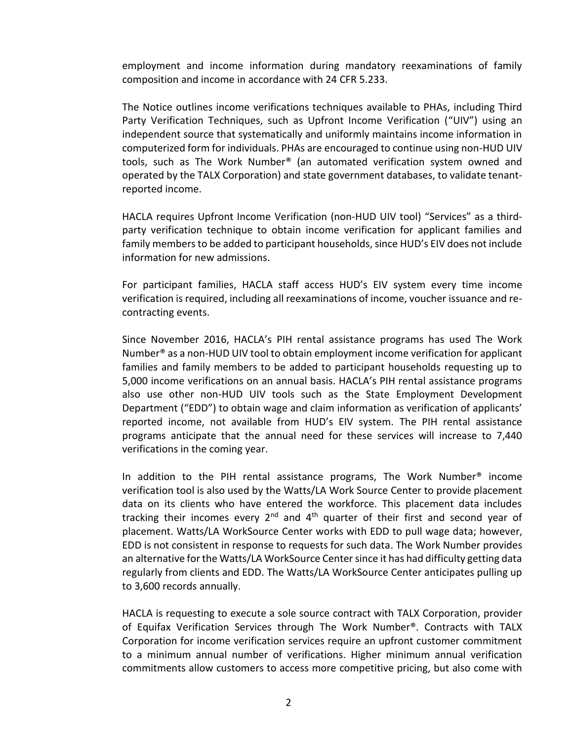employment and income information during mandatory reexaminations of family composition and income in accordance with 24 CFR 5.233.

The Notice outlines income verifications techniques available to PHAs, including Third Party Verification Techniques, such as Upfront Income Verification ("UIV") using an independent source that systematically and uniformly maintains income information in computerized form for individuals. PHAs are encouraged to continue using non-HUD UIV tools, such as The Work Number® (an automated verification system owned and operated by the TALX Corporation) and state government databases, to validate tenantreported income.

HACLA requires Upfront Income Verification (non-HUD UIV tool) "Services" as a thirdparty verification technique to obtain income verification for applicant families and family members to be added to participant households, since HUD's EIV does not include information for new admissions.

For participant families, HACLA staff access HUD's EIV system every time income verification is required, including all reexaminations of income, voucher issuance and recontracting events.

Since November 2016, HACLA's PIH rental assistance programs has used The Work Number® as a non-HUD UIV tool to obtain employment income verification for applicant families and family members to be added to participant households requesting up to 5,000 income verifications on an annual basis. HACLA's PIH rental assistance programs also use other non-HUD UIV tools such as the State Employment Development Department ("EDD") to obtain wage and claim information as verification of applicants' reported income, not available from HUD's EIV system. The PIH rental assistance programs anticipate that the annual need for these services will increase to 7,440 verifications in the coming year.

In addition to the PIH rental assistance programs, The Work Number® income verification tool is also used by the Watts/LA Work Source Center to provide placement data on its clients who have entered the workforce. This placement data includes tracking their incomes every  $2^{nd}$  and  $4^{th}$  quarter of their first and second year of placement. Watts/LA WorkSource Center works with EDD to pull wage data; however, EDD is not consistent in response to requests for such data. The Work Number provides an alternative for the Watts/LA WorkSource Center since it has had difficulty getting data regularly from clients and EDD. The Watts/LA WorkSource Center anticipates pulling up to 3,600 records annually.

HACLA is requesting to execute a sole source contract with TALX Corporation, provider of Equifax Verification Services through The Work Number®. Contracts with TALX Corporation for income verification services require an upfront customer commitment to a minimum annual number of verifications. Higher minimum annual verification commitments allow customers to access more competitive pricing, but also come with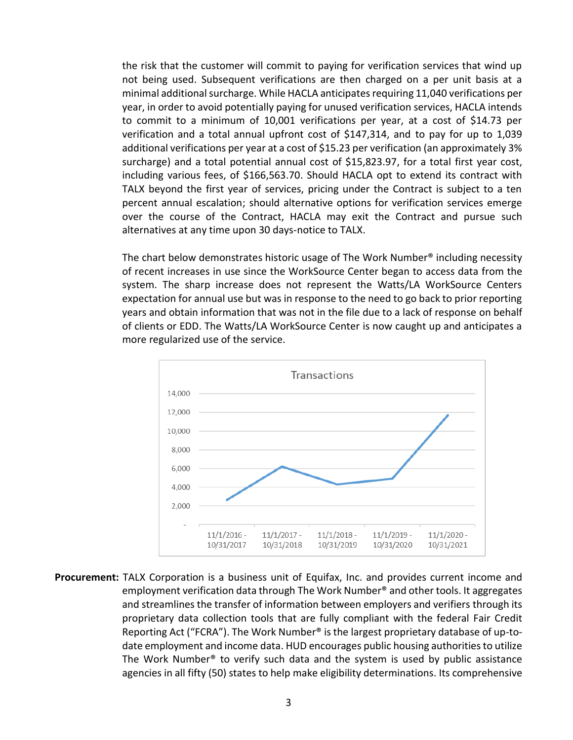the risk that the customer will commit to paying for verification services that wind up not being used. Subsequent verifications are then charged on a per unit basis at a minimal additional surcharge. While HACLA anticipates requiring 11,040 verifications per year, in order to avoid potentially paying for unused verification services, HACLA intends to commit to a minimum of 10,001 verifications per year, at a cost of \$14.73 per verification and a total annual upfront cost of \$147,314, and to pay for up to 1,039 additional verifications per year at a cost of \$15.23 per verification (an approximately 3% surcharge) and a total potential annual cost of \$15,823.97, for a total first year cost, including various fees, of \$166,563.70. Should HACLA opt to extend its contract with TALX beyond the first year of services, pricing under the Contract is subject to a ten percent annual escalation; should alternative options for verification services emerge over the course of the Contract, HACLA may exit the Contract and pursue such alternatives at any time upon 30 days-notice to TALX.

The chart below demonstrates historic usage of The Work Number® including necessity of recent increases in use since the WorkSource Center began to access data from the system. The sharp increase does not represent the Watts/LA WorkSource Centers expectation for annual use but was in response to the need to go back to prior reporting years and obtain information that was not in the file due to a lack of response on behalf of clients or EDD. The Watts/LA WorkSource Center is now caught up and anticipates a more regularized use of the service.



**Procurement:** TALX Corporation is a business unit of Equifax, Inc. and provides current income and employment verification data through The Work Number® and other tools. It aggregates and streamlines the transfer of information between employers and verifiers through its proprietary data collection tools that are fully compliant with the federal Fair Credit Reporting Act ("FCRA"). The Work Number® is the largest proprietary database of up-todate employment and income data. HUD encourages public housing authorities to utilize The Work Number® to verify such data and the system is used by public assistance agencies in all fifty (50) states to help make eligibility determinations. Its comprehensive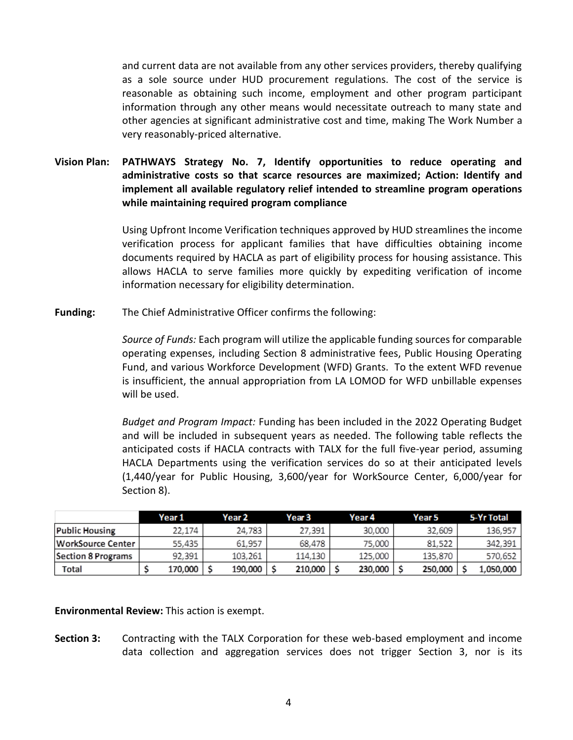and current data are not available from any other services providers, thereby qualifying as a sole source under HUD procurement regulations. The cost of the service is reasonable as obtaining such income, employment and other program participant information through any other means would necessitate outreach to many state and other agencies at significant administrative cost and time, making The Work Number a very reasonably-priced alternative.

## **Vision Plan: PATHWAYS Strategy No. 7, Identify opportunities to reduce operating and administrative costs so that scarce resources are maximized; Action: Identify and implement all available regulatory relief intended to streamline program operations while maintaining required program compliance**

Using Upfront Income Verification techniques approved by HUD streamlines the income verification process for applicant families that have difficulties obtaining income documents required by HACLA as part of eligibility process for housing assistance. This allows HACLA to serve families more quickly by expediting verification of income information necessary for eligibility determination.

**Funding:** The Chief Administrative Officer confirms the following:

*Source of Funds:* Each program will utilize the applicable funding sources for comparable operating expenses, including Section 8 administrative fees, Public Housing Operating Fund, and various Workforce Development (WFD) Grants. To the extent WFD revenue is insufficient, the annual appropriation from LA LOMOD for WFD unbillable expenses will be used.

*Budget and Program Impact:* Funding has been included in the 2022 Operating Budget and will be included in subsequent years as needed. The following table reflects the anticipated costs if HACLA contracts with TALX for the full five-year period, assuming HACLA Departments using the verification services do so at their anticipated levels (1,440/year for Public Housing, 3,600/year for WorkSource Center, 6,000/year for Section 8).

|                           | Year 1  | Year 2  | Year 3  | Year 4  | Year 5  | 5-Yr Total |
|---------------------------|---------|---------|---------|---------|---------|------------|
| <b>Public Housing</b>     | 22.174  | 24.783  | 27.391  | 30,000  | 32,609  | 136,957    |
| <b>WorkSource Center</b>  | 55,435  | 61.957  | 68.478  | 75.000  | 81.522  | 342,391    |
| <b>Section 8 Programs</b> | 92.391  | 103.261 | 114.130 | 125.000 | 135.870 | 570,652    |
| Total                     | 170,000 | 190,000 | 210,000 | 230,000 | 250,000 | 1,050,000  |

**Environmental Review:** This action is exempt.

**Section 3:** Contracting with the TALX Corporation for these web-based employment and income data collection and aggregation services does not trigger Section 3, nor is its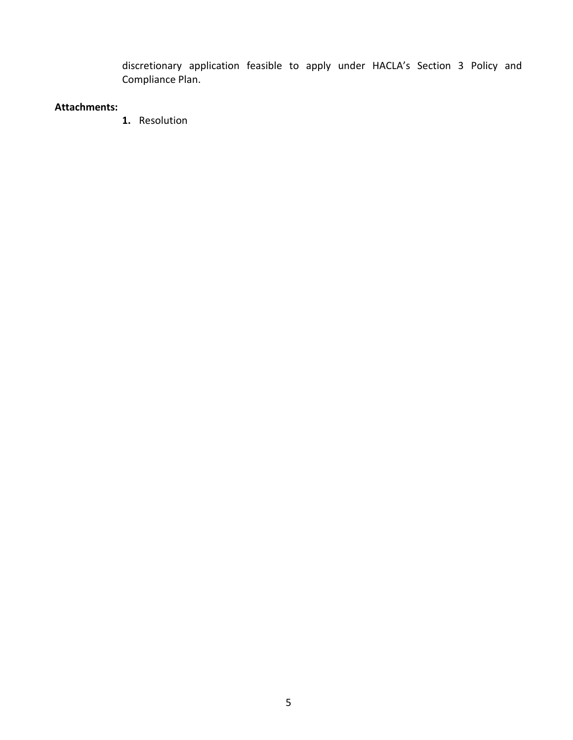discretionary application feasible to apply under HACLA's Section 3 Policy and Compliance Plan.

## **Attachments:**

**1.** Resolution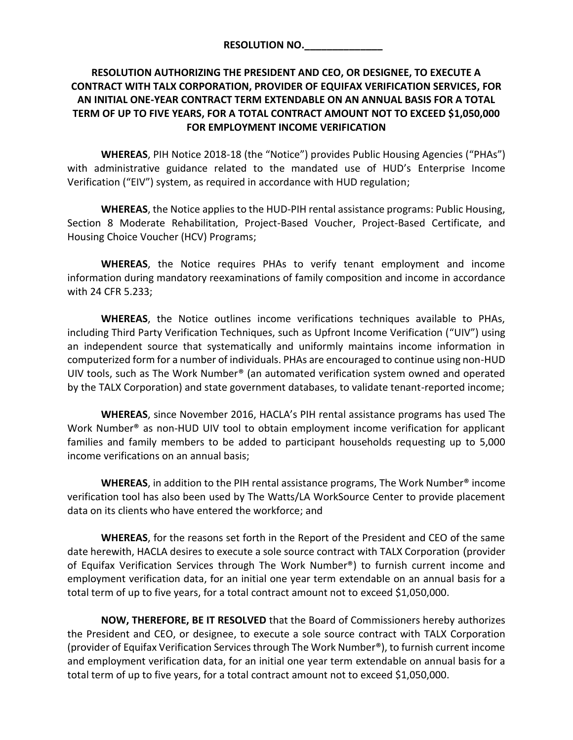## **RESOLUTION AUTHORIZING THE PRESIDENT AND CEO, OR DESIGNEE, TO EXECUTE A CONTRACT WITH TALX CORPORATION, PROVIDER OF EQUIFAX VERIFICATION SERVICES, FOR AN INITIAL ONE-YEAR CONTRACT TERM EXTENDABLE ON AN ANNUAL BASIS FOR A TOTAL TERM OF UP TO FIVE YEARS, FOR A TOTAL CONTRACT AMOUNT NOT TO EXCEED \$1,050,000 FOR EMPLOYMENT INCOME VERIFICATION**

**WHEREAS**, PIH Notice 2018-18 (the "Notice") provides Public Housing Agencies ("PHAs") with administrative guidance related to the mandated use of HUD's Enterprise Income Verification ("EIV") system, as required in accordance with HUD regulation;

**WHEREAS**, the Notice applies to the HUD-PIH rental assistance programs: Public Housing, Section 8 Moderate Rehabilitation, Project-Based Voucher, Project-Based Certificate, and Housing Choice Voucher (HCV) Programs;

**WHEREAS**, the Notice requires PHAs to verify tenant employment and income information during mandatory reexaminations of family composition and income in accordance with 24 CFR 5.233;

**WHEREAS**, the Notice outlines income verifications techniques available to PHAs, including Third Party Verification Techniques, such as Upfront Income Verification ("UIV") using an independent source that systematically and uniformly maintains income information in computerized form for a number of individuals. PHAs are encouraged to continue using non-HUD UIV tools, such as The Work Number® (an automated verification system owned and operated by the TALX Corporation) and state government databases, to validate tenant-reported income;

**WHEREAS**, since November 2016, HACLA's PIH rental assistance programs has used The Work Number<sup>®</sup> as non-HUD UIV tool to obtain employment income verification for applicant families and family members to be added to participant households requesting up to 5,000 income verifications on an annual basis;

**WHEREAS**, in addition to the PIH rental assistance programs, The Work Number® income verification tool has also been used by The Watts/LA WorkSource Center to provide placement data on its clients who have entered the workforce; and

**WHEREAS**, for the reasons set forth in the Report of the President and CEO of the same date herewith, HACLA desires to execute a sole source contract with TALX Corporation (provider of Equifax Verification Services through The Work Number®) to furnish current income and employment verification data, for an initial one year term extendable on an annual basis for a total term of up to five years, for a total contract amount not to exceed \$1,050,000.

**NOW, THEREFORE, BE IT RESOLVED** that the Board of Commissioners hereby authorizes the President and CEO, or designee, to execute a sole source contract with TALX Corporation (provider of Equifax Verification Services through The Work Number®), to furnish current income and employment verification data, for an initial one year term extendable on annual basis for a total term of up to five years, for a total contract amount not to exceed \$1,050,000.